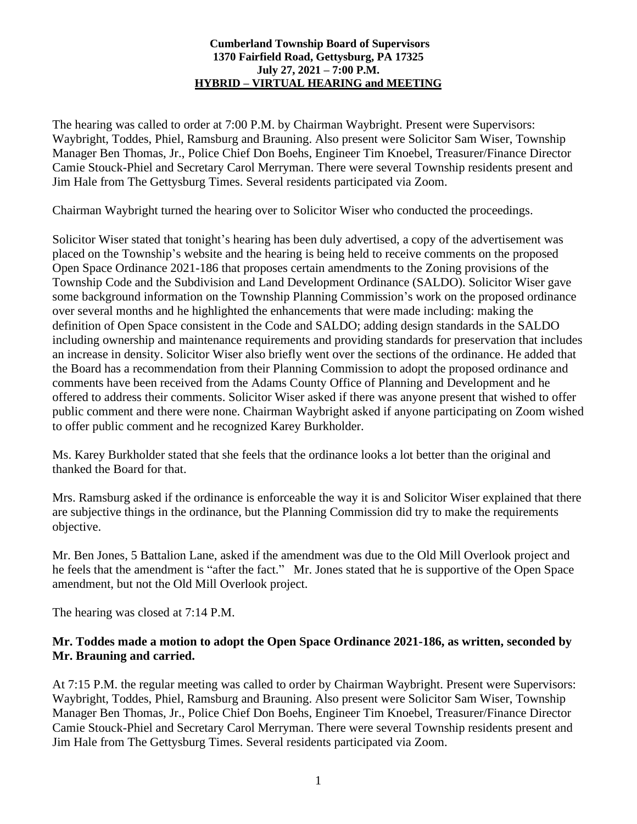#### **Cumberland Township Board of Supervisors 1370 Fairfield Road, Gettysburg, PA 17325 July 27, 2021 – 7:00 P.M. HYBRID – VIRTUAL HEARING and MEETING**

The hearing was called to order at 7:00 P.M. by Chairman Waybright. Present were Supervisors: Waybright, Toddes, Phiel, Ramsburg and Brauning. Also present were Solicitor Sam Wiser, Township Manager Ben Thomas, Jr., Police Chief Don Boehs, Engineer Tim Knoebel, Treasurer/Finance Director Camie Stouck-Phiel and Secretary Carol Merryman. There were several Township residents present and Jim Hale from The Gettysburg Times. Several residents participated via Zoom.

Chairman Waybright turned the hearing over to Solicitor Wiser who conducted the proceedings.

Solicitor Wiser stated that tonight's hearing has been duly advertised, a copy of the advertisement was placed on the Township's website and the hearing is being held to receive comments on the proposed Open Space Ordinance 2021-186 that proposes certain amendments to the Zoning provisions of the Township Code and the Subdivision and Land Development Ordinance (SALDO). Solicitor Wiser gave some background information on the Township Planning Commission's work on the proposed ordinance over several months and he highlighted the enhancements that were made including: making the definition of Open Space consistent in the Code and SALDO; adding design standards in the SALDO including ownership and maintenance requirements and providing standards for preservation that includes an increase in density. Solicitor Wiser also briefly went over the sections of the ordinance. He added that the Board has a recommendation from their Planning Commission to adopt the proposed ordinance and comments have been received from the Adams County Office of Planning and Development and he offered to address their comments. Solicitor Wiser asked if there was anyone present that wished to offer public comment and there were none. Chairman Waybright asked if anyone participating on Zoom wished to offer public comment and he recognized Karey Burkholder.

Ms. Karey Burkholder stated that she feels that the ordinance looks a lot better than the original and thanked the Board for that.

Mrs. Ramsburg asked if the ordinance is enforceable the way it is and Solicitor Wiser explained that there are subjective things in the ordinance, but the Planning Commission did try to make the requirements objective.

Mr. Ben Jones, 5 Battalion Lane, asked if the amendment was due to the Old Mill Overlook project and he feels that the amendment is "after the fact." Mr. Jones stated that he is supportive of the Open Space amendment, but not the Old Mill Overlook project.

The hearing was closed at 7:14 P.M.

## **Mr. Toddes made a motion to adopt the Open Space Ordinance 2021-186, as written, seconded by Mr. Brauning and carried.**

At 7:15 P.M. the regular meeting was called to order by Chairman Waybright. Present were Supervisors: Waybright, Toddes, Phiel, Ramsburg and Brauning. Also present were Solicitor Sam Wiser, Township Manager Ben Thomas, Jr., Police Chief Don Boehs, Engineer Tim Knoebel, Treasurer/Finance Director Camie Stouck-Phiel and Secretary Carol Merryman. There were several Township residents present and Jim Hale from The Gettysburg Times. Several residents participated via Zoom.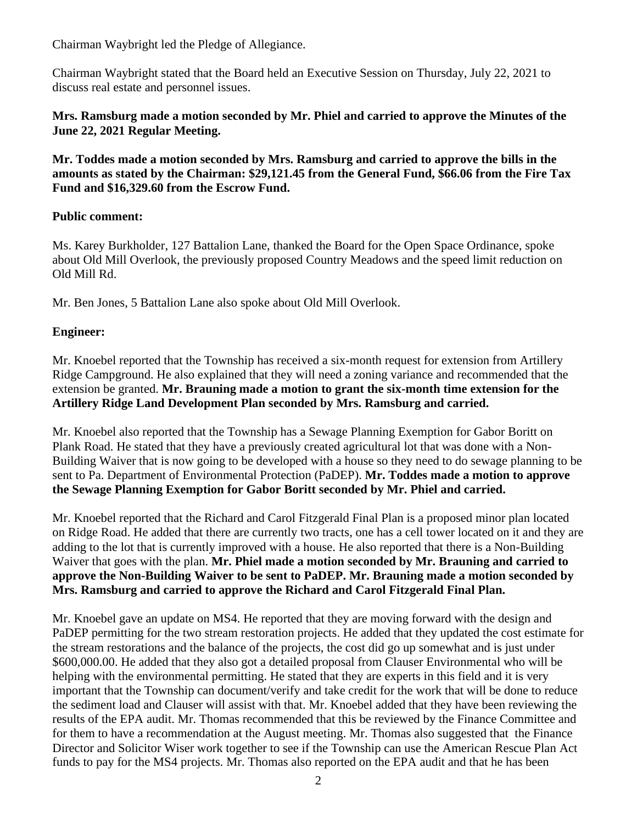Chairman Waybright led the Pledge of Allegiance.

Chairman Waybright stated that the Board held an Executive Session on Thursday, July 22, 2021 to discuss real estate and personnel issues.

## **Mrs. Ramsburg made a motion seconded by Mr. Phiel and carried to approve the Minutes of the June 22, 2021 Regular Meeting.**

**Mr. Toddes made a motion seconded by Mrs. Ramsburg and carried to approve the bills in the amounts as stated by the Chairman: \$29,121.45 from the General Fund, \$66.06 from the Fire Tax Fund and \$16,329.60 from the Escrow Fund.**

## **Public comment:**

Ms. Karey Burkholder, 127 Battalion Lane, thanked the Board for the Open Space Ordinance, spoke about Old Mill Overlook, the previously proposed Country Meadows and the speed limit reduction on Old Mill Rd.

Mr. Ben Jones, 5 Battalion Lane also spoke about Old Mill Overlook.

# **Engineer:**

Mr. Knoebel reported that the Township has received a six-month request for extension from Artillery Ridge Campground. He also explained that they will need a zoning variance and recommended that the extension be granted. **Mr. Brauning made a motion to grant the six-month time extension for the Artillery Ridge Land Development Plan seconded by Mrs. Ramsburg and carried.** 

Mr. Knoebel also reported that the Township has a Sewage Planning Exemption for Gabor Boritt on Plank Road. He stated that they have a previously created agricultural lot that was done with a Non-Building Waiver that is now going to be developed with a house so they need to do sewage planning to be sent to Pa. Department of Environmental Protection (PaDEP). **Mr. Toddes made a motion to approve the Sewage Planning Exemption for Gabor Boritt seconded by Mr. Phiel and carried.** 

Mr. Knoebel reported that the Richard and Carol Fitzgerald Final Plan is a proposed minor plan located on Ridge Road. He added that there are currently two tracts, one has a cell tower located on it and they are adding to the lot that is currently improved with a house. He also reported that there is a Non-Building Waiver that goes with the plan. **Mr. Phiel made a motion seconded by Mr. Brauning and carried to approve the Non-Building Waiver to be sent to PaDEP. Mr. Brauning made a motion seconded by Mrs. Ramsburg and carried to approve the Richard and Carol Fitzgerald Final Plan.**

Mr. Knoebel gave an update on MS4. He reported that they are moving forward with the design and PaDEP permitting for the two stream restoration projects. He added that they updated the cost estimate for the stream restorations and the balance of the projects, the cost did go up somewhat and is just under \$600,000.00. He added that they also got a detailed proposal from Clauser Environmental who will be helping with the environmental permitting. He stated that they are experts in this field and it is very important that the Township can document/verify and take credit for the work that will be done to reduce the sediment load and Clauser will assist with that. Mr. Knoebel added that they have been reviewing the results of the EPA audit. Mr. Thomas recommended that this be reviewed by the Finance Committee and for them to have a recommendation at the August meeting. Mr. Thomas also suggested that the Finance Director and Solicitor Wiser work together to see if the Township can use the American Rescue Plan Act funds to pay for the MS4 projects. Mr. Thomas also reported on the EPA audit and that he has been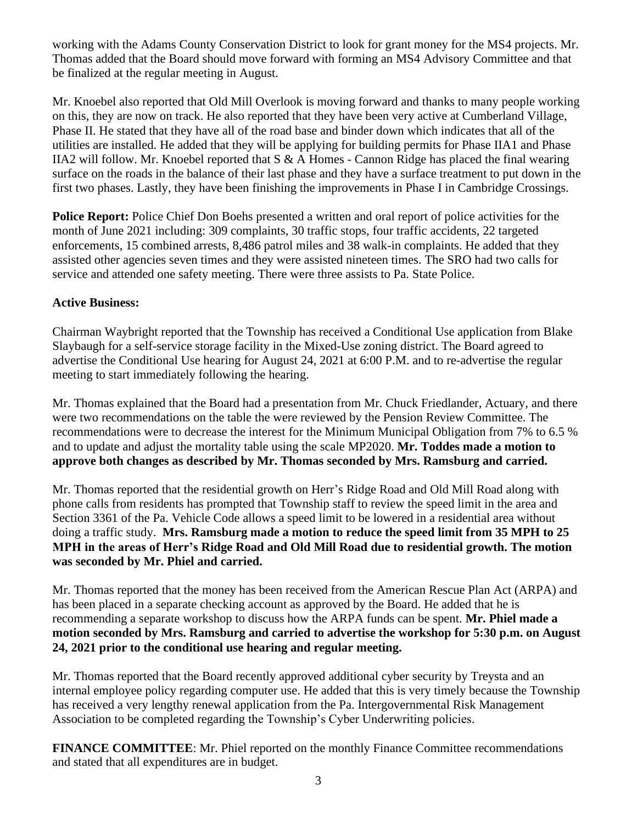working with the Adams County Conservation District to look for grant money for the MS4 projects. Mr. Thomas added that the Board should move forward with forming an MS4 Advisory Committee and that be finalized at the regular meeting in August.

Mr. Knoebel also reported that Old Mill Overlook is moving forward and thanks to many people working on this, they are now on track. He also reported that they have been very active at Cumberland Village, Phase II. He stated that they have all of the road base and binder down which indicates that all of the utilities are installed. He added that they will be applying for building permits for Phase IIA1 and Phase IIA2 will follow. Mr. Knoebel reported that S & A Homes - Cannon Ridge has placed the final wearing surface on the roads in the balance of their last phase and they have a surface treatment to put down in the first two phases. Lastly, they have been finishing the improvements in Phase I in Cambridge Crossings.

**Police Report:** Police Chief Don Boehs presented a written and oral report of police activities for the month of June 2021 including: 309 complaints, 30 traffic stops, four traffic accidents, 22 targeted enforcements, 15 combined arrests, 8,486 patrol miles and 38 walk-in complaints. He added that they assisted other agencies seven times and they were assisted nineteen times. The SRO had two calls for service and attended one safety meeting. There were three assists to Pa. State Police.

## **Active Business:**

Chairman Waybright reported that the Township has received a Conditional Use application from Blake Slaybaugh for a self-service storage facility in the Mixed-Use zoning district. The Board agreed to advertise the Conditional Use hearing for August 24, 2021 at 6:00 P.M. and to re-advertise the regular meeting to start immediately following the hearing.

Mr. Thomas explained that the Board had a presentation from Mr. Chuck Friedlander, Actuary, and there were two recommendations on the table the were reviewed by the Pension Review Committee. The recommendations were to decrease the interest for the Minimum Municipal Obligation from 7% to 6.5 % and to update and adjust the mortality table using the scale MP2020. **Mr. Toddes made a motion to approve both changes as described by Mr. Thomas seconded by Mrs. Ramsburg and carried.**

Mr. Thomas reported that the residential growth on Herr's Ridge Road and Old Mill Road along with phone calls from residents has prompted that Township staff to review the speed limit in the area and Section 3361 of the Pa. Vehicle Code allows a speed limit to be lowered in a residential area without doing a traffic study. **Mrs. Ramsburg made a motion to reduce the speed limit from 35 MPH to 25 MPH in the areas of Herr's Ridge Road and Old Mill Road due to residential growth. The motion was seconded by Mr. Phiel and carried.**

Mr. Thomas reported that the money has been received from the American Rescue Plan Act (ARPA) and has been placed in a separate checking account as approved by the Board. He added that he is recommending a separate workshop to discuss how the ARPA funds can be spent. **Mr. Phiel made a motion seconded by Mrs. Ramsburg and carried to advertise the workshop for 5:30 p.m. on August 24, 2021 prior to the conditional use hearing and regular meeting.**

Mr. Thomas reported that the Board recently approved additional cyber security by Treysta and an internal employee policy regarding computer use. He added that this is very timely because the Township has received a very lengthy renewal application from the Pa. Intergovernmental Risk Management Association to be completed regarding the Township's Cyber Underwriting policies.

**FINANCE COMMITTEE**: Mr. Phiel reported on the monthly Finance Committee recommendations and stated that all expenditures are in budget.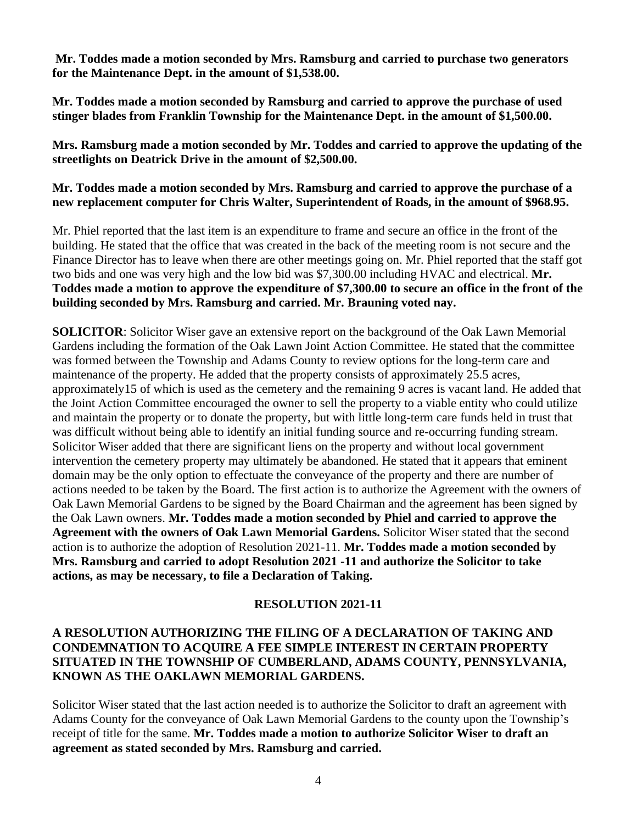**Mr. Toddes made a motion seconded by Mrs. Ramsburg and carried to purchase two generators for the Maintenance Dept. in the amount of \$1,538.00.** 

**Mr. Toddes made a motion seconded by Ramsburg and carried to approve the purchase of used stinger blades from Franklin Township for the Maintenance Dept. in the amount of \$1,500.00.** 

**Mrs. Ramsburg made a motion seconded by Mr. Toddes and carried to approve the updating of the streetlights on Deatrick Drive in the amount of \$2,500.00.** 

**Mr. Toddes made a motion seconded by Mrs. Ramsburg and carried to approve the purchase of a new replacement computer for Chris Walter, Superintendent of Roads, in the amount of \$968.95.**

Mr. Phiel reported that the last item is an expenditure to frame and secure an office in the front of the building. He stated that the office that was created in the back of the meeting room is not secure and the Finance Director has to leave when there are other meetings going on. Mr. Phiel reported that the staff got two bids and one was very high and the low bid was \$7,300.00 including HVAC and electrical. **Mr. Toddes made a motion to approve the expenditure of \$7,300.00 to secure an office in the front of the building seconded by Mrs. Ramsburg and carried. Mr. Brauning voted nay.** 

**SOLICITOR**: Solicitor Wiser gave an extensive report on the background of the Oak Lawn Memorial Gardens including the formation of the Oak Lawn Joint Action Committee. He stated that the committee was formed between the Township and Adams County to review options for the long-term care and maintenance of the property. He added that the property consists of approximately 25.5 acres, approximately15 of which is used as the cemetery and the remaining 9 acres is vacant land. He added that the Joint Action Committee encouraged the owner to sell the property to a viable entity who could utilize and maintain the property or to donate the property, but with little long-term care funds held in trust that was difficult without being able to identify an initial funding source and re-occurring funding stream. Solicitor Wiser added that there are significant liens on the property and without local government intervention the cemetery property may ultimately be abandoned. He stated that it appears that eminent domain may be the only option to effectuate the conveyance of the property and there are number of actions needed to be taken by the Board. The first action is to authorize the Agreement with the owners of Oak Lawn Memorial Gardens to be signed by the Board Chairman and the agreement has been signed by the Oak Lawn owners. **Mr. Toddes made a motion seconded by Phiel and carried to approve the Agreement with the owners of Oak Lawn Memorial Gardens.** Solicitor Wiser stated that the second action is to authorize the adoption of Resolution 2021-11. **Mr. Toddes made a motion seconded by Mrs. Ramsburg and carried to adopt Resolution 2021 -11 and authorize the Solicitor to take actions, as may be necessary, to file a Declaration of Taking.** 

## **RESOLUTION 2021-11**

## **A RESOLUTION AUTHORIZING THE FILING OF A DECLARATION OF TAKING AND CONDEMNATION TO ACQUIRE A FEE SIMPLE INTEREST IN CERTAIN PROPERTY SITUATED IN THE TOWNSHIP OF CUMBERLAND, ADAMS COUNTY, PENNSYLVANIA, KNOWN AS THE OAKLAWN MEMORIAL GARDENS.**

Solicitor Wiser stated that the last action needed is to authorize the Solicitor to draft an agreement with Adams County for the conveyance of Oak Lawn Memorial Gardens to the county upon the Township's receipt of title for the same. **Mr. Toddes made a motion to authorize Solicitor Wiser to draft an agreement as stated seconded by Mrs. Ramsburg and carried.**